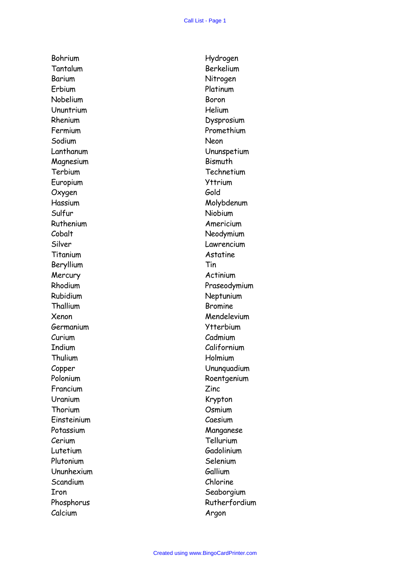Bohrium Tantalum Barium Erbium Nobelium Ununtrium Rhenium Fermium Sodium Lanthanum Magnesium Terbium Europium **Oxygen** Hassium Sulfur Ruthenium Cobalt Silver **Titanium** Beryllium **Mercury** Rhodium Rubidium **Thallium** Xenon Germanium Curium Indium Thulium Copper Polonium Francium Uranium Thorium Einsteinium Potassium Cerium Lutetium Plutonium Ununhexium **Scandium** Iron Phosphorus Calcium

Hydrogen Berkelium Nitrogen Platinum Boron Helium Dysprosium Promethium Neon Ununspetium Bismuth **Technetium** Yttrium Gold Molybdenum Niobium Americium Neodymium Lawrencium Astatine Tin Actinium Praseodymium Neptunium Bromine Mendelevium Ytterbium Cadmium Californium Holmium Ununquadium Roentgenium Zinc Krypton **Osmium** Caesium Manganese Tellurium Gadolinium Selenium Gallium Chlorine Seaborgium Rutherfordium Argon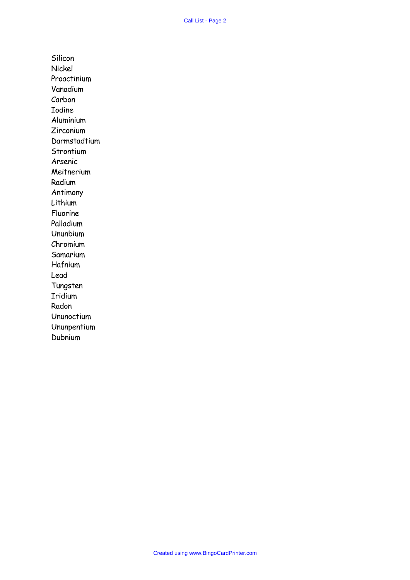Silicon Nickel Proactinium Vanadium Carbon Iodine Aluminium Zirconium Darmstadtium **Strontium** Arsenic Meitnerium Radium Antimony Lithium Fluorine Palladium Ununbium Chromium Samarium Hafnium Lead Tungsten Iridium Radon Ununoctium Ununpentium Dubnium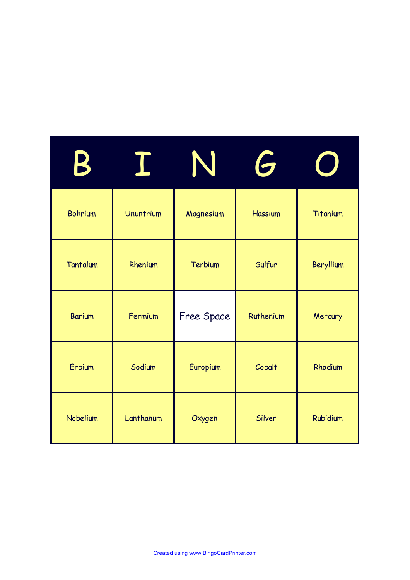| $\blacklozenge$ |           | N<br>$\blacktriangledown$ | G              |           |
|-----------------|-----------|---------------------------|----------------|-----------|
| <b>Bohrium</b>  | Ununtrium | Magnesium                 | <b>Hassium</b> | Titanium  |
| Tantalum        | Rhenium   | Terbium                   | Sulfur         | Beryllium |
| <b>Barium</b>   | Fermium   | Free Space                | Ruthenium      | Mercury   |
| Erbium          | Sodium    | Europium                  | Cobalt         | Rhodium   |
| Nobelium        | Lanthanum | Oxygen                    | Silver         | Rubidium  |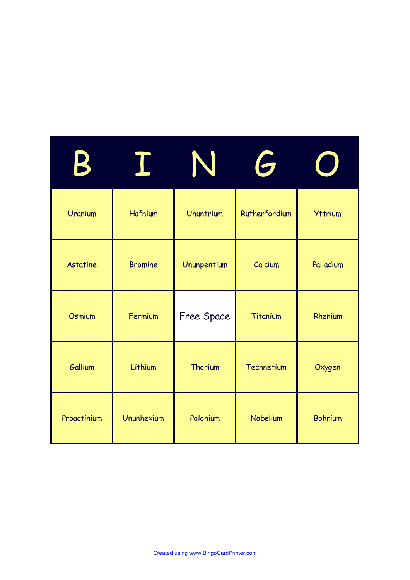|                 |                |             | G             |                |
|-----------------|----------------|-------------|---------------|----------------|
| Uranium         | Hafnium        | Ununtrium   | Rutherfordium | <b>Yttrium</b> |
| <b>Astatine</b> | <b>Bromine</b> | Ununpentium | Calcium       | Palladium      |
| Osmium          | Fermium        | Free Space  | Titanium      | Rhenium        |
| Gallium         | Lithium        | Thorium     | Technetium    | Oxygen         |
| Proactinium     | Ununhexium     | Polonium    | Nobelium      | <b>Bohrium</b> |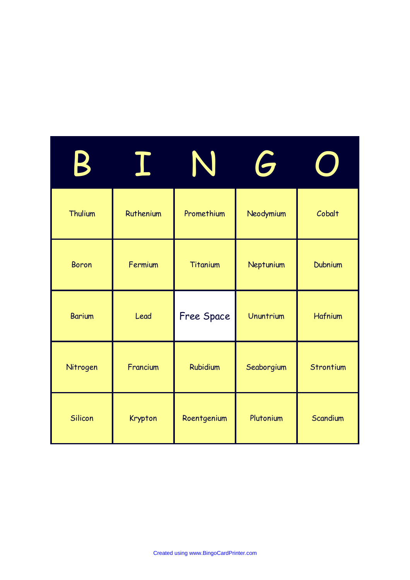|               |           | N           | G          |           |
|---------------|-----------|-------------|------------|-----------|
| Thulium       | Ruthenium | Promethium  | Neodymium  | Cobalt    |
| <b>Boron</b>  | Fermium   | Titanium    | Neptunium  | Dubnium   |
| <b>Barium</b> | Lead      | Free Space  | Ununtrium  | Hafnium   |
| Nitrogen      | Francium  | Rubidium    | Seaborgium | Strontium |
| Silicon       | Krypton   | Roentgenium | Plutonium  | Scandium  |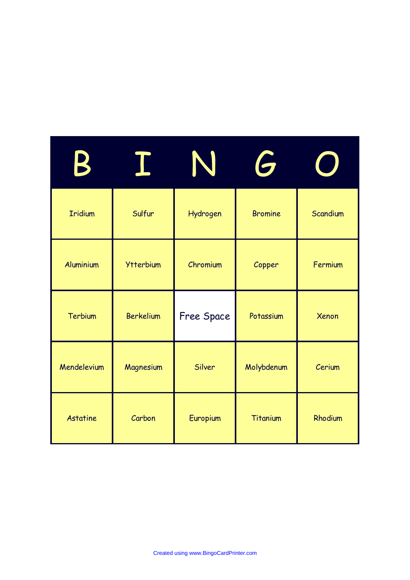|                 |                  | I          | G              |          |
|-----------------|------------------|------------|----------------|----------|
| <b>Iridium</b>  | Sulfur           | Hydrogen   | <b>Bromine</b> | Scandium |
| Aluminium       | <b>Ytterbium</b> | Chromium   | Copper         | Fermium  |
| Terbium         | <b>Berkelium</b> | Free Space | Potassium      | Xenon    |
| Mendelevium     | Magnesium        | Silver     | Molybdenum     | Cerium   |
| <b>Astatine</b> | Carbon           | Europium   | Titanium       | Rhodium  |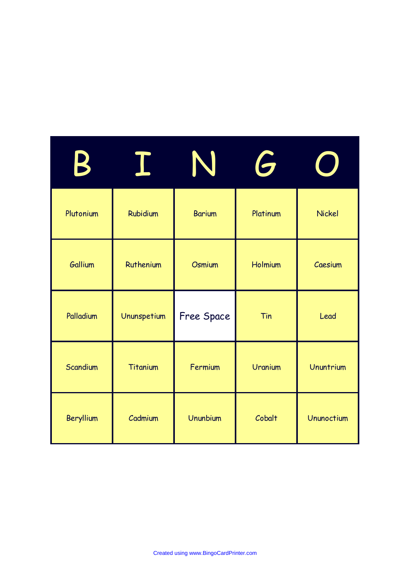|                |                 | T             | $\ddot{\bullet}$ |               |
|----------------|-----------------|---------------|------------------|---------------|
| Plutonium      | <b>Rubidium</b> | <b>Barium</b> | Platinum         | <b>Nickel</b> |
| <b>Gallium</b> | Ruthenium       | Osmium        | Holmium          | Caesium       |
| Palladium      | Ununspetium     | Free Space    | Tin              | Lead          |
| Scandium       | Titanium        | Fermium       | Uranium          | Ununtrium     |
| Beryllium      | Cadmium         | Ununbium      | Cobalt           | Ununoctium    |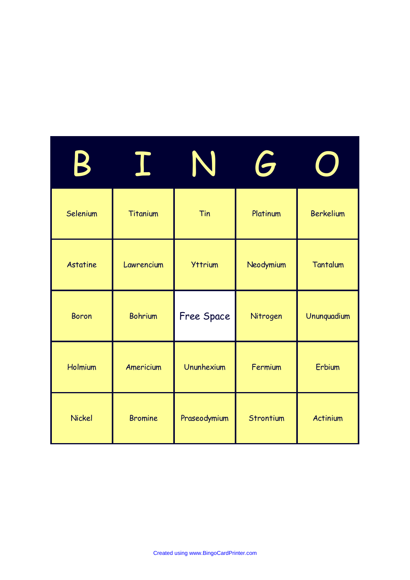| $\blacklozenge$ |                | N              | $\bullet$ |             |
|-----------------|----------------|----------------|-----------|-------------|
| Selenium        | Titanium       | Tin            | Platinum  | Berkelium   |
| <b>Astatine</b> | Lawrencium     | <b>Yttrium</b> | Neodymium | Tantalum    |
| <b>Boron</b>    | <b>Bohrium</b> | Free Space     | Nitrogen  | Ununquadium |
| Holmium         | Americium      | Ununhexium     | Fermium   | Erbium      |
| Nickel          | <b>Bromine</b> | Praseodymium   | Strontium | Actinium    |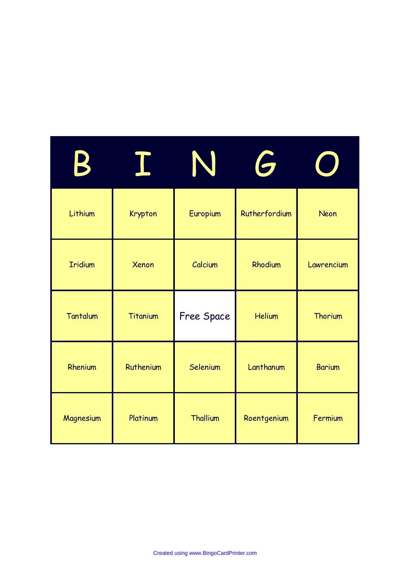| К              |           | N               | G             |               |
|----------------|-----------|-----------------|---------------|---------------|
| Lithium        | Krypton   | Europium        | Rutherfordium | Neon          |
| <b>Iridium</b> | Xenon     | Calcium         | Rhodium       | Lawrencium    |
| Tantalum       | Titanium  | Free Space      | <b>Helium</b> | Thorium       |
| Rhenium        | Ruthenium | Selenium        | Lanthanum     | <b>Barium</b> |
| Magnesium      | Platinum  | <b>Thallium</b> | Roentgenium   | Fermium       |